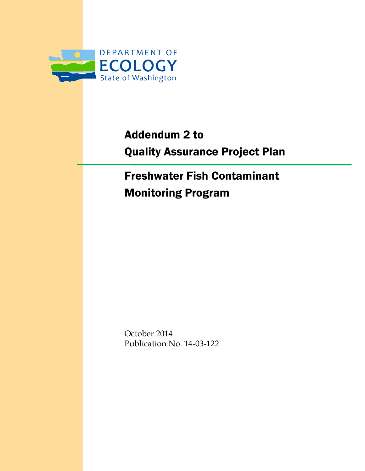

# Addendum 2 to Quality Assurance Project Plan

# Freshwater Fish Contaminant Monitoring Program

October 2014 Publication No. 14-03-122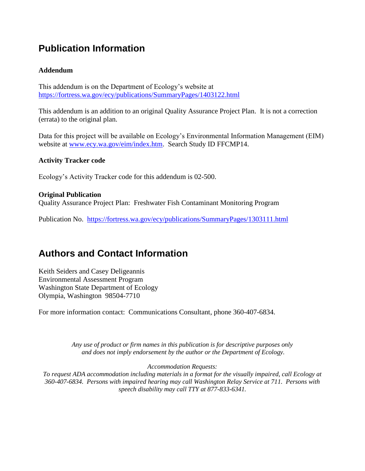### **Publication Information**

#### **Addendum**

This addendum is on the Department of Ecology's website at <https://fortress.wa.gov/ecy/publications/SummaryPages/1403122.html>

This addendum is an addition to an original Quality Assurance Project Plan. It is not a correction (errata) to the original plan.

Data for this project will be available on Ecology's Environmental Information Management (EIM) website at [www.ecy.wa.gov/eim/index.htm.](http://www.ecy.wa.gov/eim/index.htm) Search Study ID FFCMP14.

#### **Activity Tracker code**

Ecology's Activity Tracker code for this addendum is 02-500.

#### **Original Publication**

Quality Assurance Project Plan: Freshwater Fish Contaminant Monitoring Program

Publication No. <https://fortress.wa.gov/ecy/publications/SummaryPages/1303111.html>

#### **Authors and Contact Information**

Keith Seiders and Casey Deligeannis Environmental Assessment Program Washington State Department of Ecology Olympia, Washington 98504-7710

For more information contact: Communications Consultant, phone 360-407-6834.

*Any use of product or firm names in this publication is for descriptive purposes only and does not imply endorsement by the author or the Department of Ecology.*

*Accommodation Requests:*

*To request ADA accommodation including materials in a format for the visually impaired, call Ecology at 360-407-6834. Persons with impaired hearing may call Washington Relay Service at 711. Persons with speech disability may call TTY at 877-833-6341.*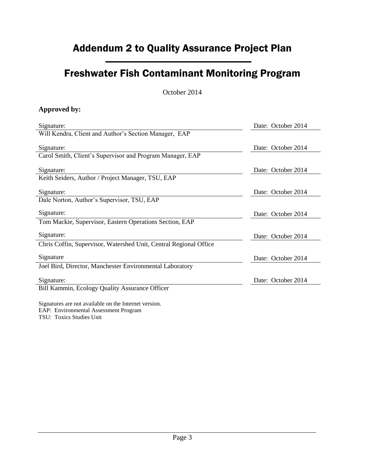### Addendum 2 to Quality Assurance Project Plan

### Freshwater Fish Contaminant Monitoring Program

October 2014

#### **Approved by:**

| Signature:                                                        | Date: October 2014 |
|-------------------------------------------------------------------|--------------------|
| Will Kendra, Client and Author's Section Manager, EAP             |                    |
| Signature:                                                        | Date: October 2014 |
| Carol Smith, Client's Supervisor and Program Manager, EAP         |                    |
| Signature:                                                        | Date: October 2014 |
| Keith Seiders, Author / Project Manager, TSU, EAP                 |                    |
| Signature:                                                        | Date: October 2014 |
| Dale Norton, Author's Supervisor, TSU, EAP                        |                    |
| Signature:                                                        | Date: October 2014 |
| Tom Mackie, Supervisor, Eastern Operations Section, EAP           |                    |
| Signature:                                                        | Date: October 2014 |
| Chris Coffin, Supervisor, Watershed Unit, Central Regional Office |                    |
| Signature                                                         | Date: October 2014 |
| Joel Bird, Director, Manchester Environmental Laboratory          |                    |
| Signature:                                                        | Date: October 2014 |
| Bill Kammin, Ecology Quality Assurance Officer                    |                    |
|                                                                   |                    |

Signatures are not available on the Internet version. EAP: Environmental Assessment Program TSU: Toxics Studies Unit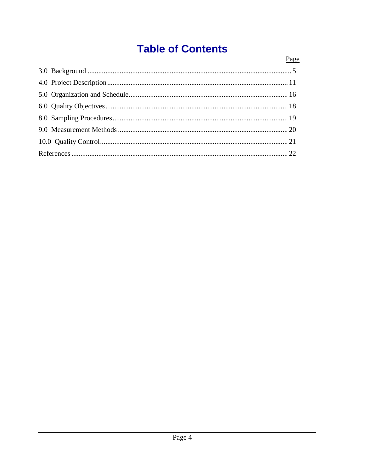## **Table of Contents**

| Page |
|------|
|      |
|      |
|      |
|      |
|      |
|      |
|      |
|      |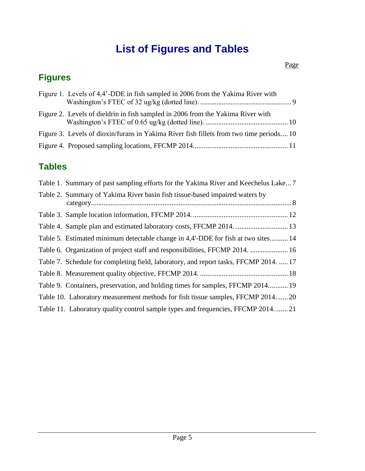## **List of Figures and Tables**

### **Figures**

| Figure 1. Levels of 4,4'-DDE in fish sampled in 2006 from the Yakima River with         |
|-----------------------------------------------------------------------------------------|
| Figure 2. Levels of dieldrin in fish sampled in 2006 from the Yakima River with         |
| Figure 3. Levels of dioxin/furans in Yakima River fish fillets from two time periods 10 |
|                                                                                         |

### **Tables**

<span id="page-4-0"></span>

| Table 1. Summary of past sampling efforts for the Yakima River and Keechelus Lake7    |
|---------------------------------------------------------------------------------------|
| Table 2. Summary of Yakima River basin fish tissue-based impaired waters by           |
|                                                                                       |
|                                                                                       |
| Table 5. Estimated minimum detectable change in 4,4'-DDE for fish at two sites 14     |
| Table 6. Organization of project staff and responsibilities, FFCMP 2014.  16          |
| Table 7. Schedule for completing field, laboratory, and report tasks, FFCMP 2014.  17 |
|                                                                                       |
| Table 9. Containers, preservation, and holding times for samples, FFCMP 2014 19       |
| Table 10. Laboratory measurement methods for fish tissue samples, FFCMP 2014 20       |
| Table 11. Laboratory quality control sample types and frequencies, FFCMP 201421       |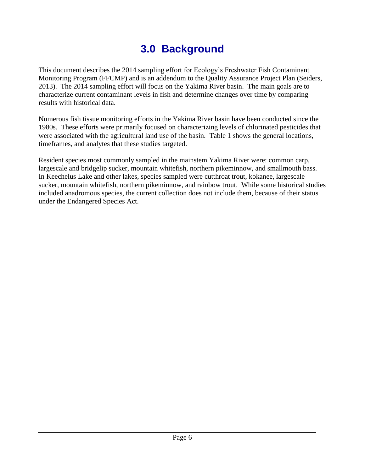## **3.0 Background**

This document describes the 2014 sampling effort for Ecology's Freshwater Fish Contaminant Monitoring Program (FFCMP) and is an addendum to the Quality Assurance Project Plan (Seiders, 2013). The 2014 sampling effort will focus on the Yakima River basin. The main goals are to characterize current contaminant levels in fish and determine changes over time by comparing results with historical data.

Numerous fish tissue monitoring efforts in the Yakima River basin have been conducted since the 1980s. These efforts were primarily focused on characterizing levels of chlorinated pesticides that were associated with the agricultural land use of the basin. Table 1 shows the general locations, timeframes, and analytes that these studies targeted.

Resident species most commonly sampled in the mainstem Yakima River were: common carp, largescale and bridgelip sucker, mountain whitefish, northern pikeminnow, and smallmouth bass. In Keechelus Lake and other lakes, species sampled were cutthroat trout, kokanee, largescale sucker, mountain whitefish, northern pikeminnow, and rainbow trout. While some historical studies included anadromous species, the current collection does not include them, because of their status under the Endangered Species Act.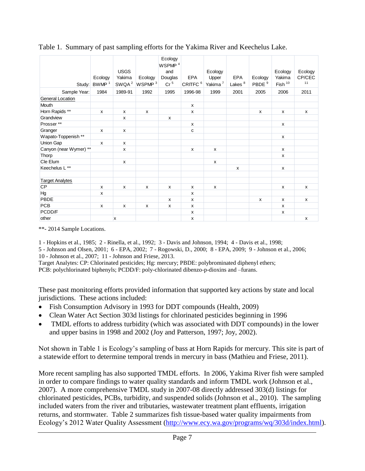| Table 1. Summary of past sampling efforts for the Yakima River and Keechelus Lake. |                     |                                            |                               |                                                                    |                            |                                         |                           |                              |                                |                         |
|------------------------------------------------------------------------------------|---------------------|--------------------------------------------|-------------------------------|--------------------------------------------------------------------|----------------------------|-----------------------------------------|---------------------------|------------------------------|--------------------------------|-------------------------|
| Study:                                                                             | Ecology<br>BWMP $1$ | <b>USGS</b><br>Yakima<br>SWQA <sup>2</sup> | Ecology<br>WSPMP <sup>3</sup> | Ecology<br>WSPMP <sup>4</sup><br>and<br>Douglas<br>Cr <sup>5</sup> | EPA<br>CRITFC <sup>6</sup> | Ecology<br>Upper<br>Yakima <sup>7</sup> | EPA<br>Lakes <sup>8</sup> | Ecology<br>PBDE <sup>9</sup> | Ecology<br>Yakima<br>Fish $10$ | Ecology<br>CP/CEC<br>11 |
| Sample Year:                                                                       | 1984                | 1989-91                                    | 1992                          | 1995                                                               | 1996-98                    | 1999                                    | 2001                      | 2005                         | 2006                           | 2011                    |
| <b>General Location</b>                                                            |                     |                                            |                               |                                                                    |                            |                                         |                           |                              |                                |                         |
| Mouth                                                                              |                     |                                            |                               |                                                                    | x                          |                                         |                           |                              |                                |                         |
| Horn Rapids **                                                                     | X                   | X                                          | X                             |                                                                    | X                          |                                         |                           | x                            | X                              | x                       |
| Grandview                                                                          |                     | x                                          |                               | X                                                                  |                            |                                         |                           |                              |                                |                         |
| Prosser**                                                                          |                     |                                            |                               |                                                                    | x                          |                                         |                           |                              | X                              |                         |
| Granger                                                                            | $\mathsf{x}$        | X                                          |                               |                                                                    | C                          |                                         |                           |                              |                                |                         |
| Wapato-Toppenish**                                                                 |                     |                                            |                               |                                                                    |                            |                                         |                           |                              | X                              |                         |
| Union Gap                                                                          | x                   | x                                          |                               |                                                                    |                            |                                         |                           |                              |                                |                         |
| Canyon (near Wymer) **                                                             |                     | x                                          |                               |                                                                    | X                          | x                                       |                           |                              | X                              |                         |
| Thorp                                                                              |                     |                                            |                               |                                                                    |                            |                                         |                           |                              | X                              |                         |
| Cle Elum                                                                           |                     | x                                          |                               |                                                                    |                            | x                                       |                           |                              |                                |                         |
| Keechelus L**                                                                      |                     |                                            |                               |                                                                    |                            |                                         | X                         |                              | X                              |                         |
|                                                                                    |                     |                                            |                               |                                                                    |                            |                                         |                           |                              |                                |                         |
| <b>Target Analytes</b>                                                             |                     |                                            |                               |                                                                    |                            |                                         |                           |                              |                                |                         |
| <b>CP</b>                                                                          | X                   | X                                          | x                             | x                                                                  | x                          | x                                       |                           |                              | X                              | X                       |
| Hg                                                                                 | X                   |                                            |                               |                                                                    | X                          |                                         |                           |                              |                                |                         |
| PBDE                                                                               |                     |                                            |                               | $\mathsf{x}$                                                       | x                          |                                         |                           | x                            | X                              | x                       |
| <b>PCB</b>                                                                         | X                   | X                                          | x                             | X                                                                  | x                          |                                         |                           |                              | X                              |                         |
| PCDD/F                                                                             |                     |                                            |                               |                                                                    | X                          |                                         |                           |                              | $\pmb{\mathsf{x}}$             |                         |
| other                                                                              |                     | X                                          |                               |                                                                    | x                          |                                         |                           |                              |                                | X                       |

<span id="page-6-0"></span>

\*\*- 2014 Sample Locations.

1 - Hopkins et al., 1985; 2 - Rinella, et al., 1992; 3 - Davis and Johnson, 1994; 4 - Davis et al., 1998;

5 - Johnson and Olsen, 2001; 6 - EPA, 2002; 7 - Rogowski, D., 2000; 8 - EPA, 2009; 9 - Johnson et al., 2006; 10 - Johnson et al., 2007; 11 - Johnson and Friese, 2013.

Target Analytes: CP: Chlorinated pesticides; Hg: mercury; PBDE: polybrominated diphenyl ethers; PCB: polychlorinated biphenyls; PCDD/F: poly-chlorinated dibenzo-p-dioxins and –furans.

These past monitoring efforts provided information that supported key actions by state and local jurisdictions. These actions included:

- Fish Consumption Advisory in 1993 for DDT compounds (Health, 2009)
- Clean Water Act Section 303d listings for chlorinated pesticides beginning in 1996
- TMDL efforts to address turbidity (which was associated with DDT compounds) in the lower and upper basins in 1998 and 2002 (Joy and Patterson, 1997; Joy, 2002).

Not shown in Table 1 is Ecology's sampling of bass at Horn Rapids for mercury. This site is part of a statewide effort to determine temporal trends in mercury in bass (Mathieu and Friese, 2011).

More recent sampling has also supported TMDL efforts. In 2006, Yakima River fish were sampled in order to compare findings to water quality standards and inform TMDL work (Johnson et al., 2007). A more comprehensive TMDL study in 2007-08 directly addressed 303(d) listings for chlorinated pesticides, PCBs, turbidity, and suspended solids (Johnson et al., 2010). The sampling included waters from the river and tributaries, wastewater treatment plant effluents, irrigation returns, and stormwater. Table 2 summarizes fish tissue-based water quality impairments from Ecology's 2012 Water Quality Assessment [\(http://www.ecy.wa.gov/programs/wq/303d/index.html\)](http://www.ecy.wa.gov/programs/wq/303d/index.html).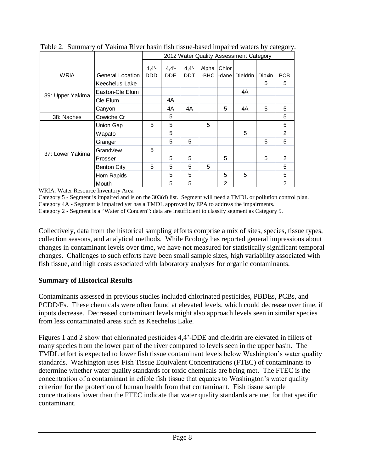|                  |                    | 2012 Water Quality Assessment Category |          |            |       |       |          |        |            |
|------------------|--------------------|----------------------------------------|----------|------------|-------|-------|----------|--------|------------|
|                  |                    | $4,4'$ -                               | $4,4'$ - | $4,4'$ -   | Alpha | Chlor |          |        |            |
| <b>WRIA</b>      | General Location   | <b>DDD</b>                             | DDE.     | <b>DDT</b> | -BHC  | -dane | Dieldrin | Dioxin | <b>PCB</b> |
|                  | Keechelus Lake     |                                        |          |            |       |       |          | 5      | 5          |
| 39: Upper Yakima | Easton-Cle Elum    |                                        |          |            |       |       | 4A       |        |            |
|                  | Cle Elum           |                                        | 4A       |            |       |       |          |        |            |
|                  | Canyon             |                                        | 4A       | 4A         |       | 5     | 4A       | 5      | 5          |
| 38: Naches       | Cowiche Cr         |                                        | 5        |            |       |       |          |        | 5          |
|                  | Union Gap          | 5                                      | 5        |            | 5     |       |          |        | 5          |
|                  | Wapato             |                                        | 5        |            |       |       | 5        |        | 2          |
|                  | Granger            |                                        | 5        | 5          |       |       |          | 5      | 5          |
| 37: Lower Yakima | Grandview          | 5                                      |          |            |       |       |          |        |            |
|                  | Prosser            |                                        | 5        | 5          |       | 5     |          | 5      | 2          |
|                  | <b>Benton City</b> | 5                                      | 5        | 5          | 5     |       |          |        | 5          |
|                  | Horn Rapids        |                                        | 5        | 5          |       | 5     | 5        |        | 5          |
|                  | Mouth              |                                        | 5        | 5          |       | 2     |          |        | 2          |

<span id="page-7-0"></span>Table 2. Summary of Yakima River basin fish tissue-based impaired waters by category.

WRIA: Water Resource Inventory Area

Category 5 - Segment is impaired and is on the 303(d) list. Segment will need a TMDL or pollution control plan. Category 4A - Segment is impaired yet has a TMDL approved by EPA to address the impairments.

Category 2 - Segment is a "Water of Concern": data are insufficient to classify segment as Category 5.

Collectively, data from the historical sampling efforts comprise a mix of sites, species, tissue types, collection seasons, and analytical methods. While Ecology has reported general impressions about changes in contaminant levels over time, we have not measured for statistically significant temporal changes. Challenges to such efforts have been small sample sizes, high variability associated with fish tissue, and high costs associated with laboratory analyses for organic contaminants.

#### **Summary of Historical Results**

Contaminants assessed in previous studies included chlorinated pesticides, PBDEs, PCBs, and PCDD/Fs. These chemicals were often found at elevated levels, which could decrease over time, if inputs decrease. Decreased contaminant levels might also approach levels seen in similar species from less contaminated areas such as Keechelus Lake.

Figures 1 and 2 show that chlorinated pesticides 4,4'-DDE and dieldrin are elevated in fillets of many species from the lower part of the river compared to levels seen in the upper basin. The TMDL effort is expected to lower fish tissue contaminant levels below Washington's water quality standards. Washington uses Fish Tissue Equivalent Concentrations (FTEC) of contaminants to determine whether water quality standards for toxic chemicals are being met. The FTEC is the concentration of a contaminant in edible fish tissue that equates to Washington's water quality criterion for the protection of human health from that contaminant. Fish tissue sample concentrations lower than the FTEC indicate that water quality standards are met for that specific contaminant.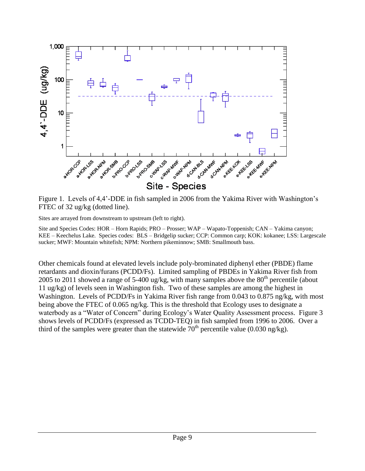

<span id="page-8-0"></span>Figure 1. Levels of 4,4'-DDE in fish sampled in 2006 from the Yakima River with Washington's FTEC of 32 ug/kg (dotted line).

Sites are arrayed from downstream to upstream (left to right).

Site and Species Codes: HOR – Horn Rapids; PRO – Prosser; WAP – Wapato-Toppenish; CAN – Yakima canyon; KEE – Keechelus Lake. Species codes: BLS – Bridgelip sucker; CCP: Common carp; KOK: kokanee; LSS: Largescale sucker; MWF: Mountain whitefish; NPM: Northern pikeminnow; SMB: Smallmouth bass.

Other chemicals found at elevated levels include poly-brominated diphenyl ether (PBDE) flame retardants and dioxin/furans (PCDD/Fs). Limited sampling of PBDEs in Yakima River fish from 2005 to 2011 showed a range of 5-400 ug/kg, with many samples above the  $80<sup>th</sup>$  percentile (about 11 ug/kg) of levels seen in Washington fish. Two of these samples are among the highest in Washington. Levels of PCDD/Fs in Yakima River fish range from 0.043 to 0.875 ng/kg, with most being above the FTEC of 0.065 ng/kg. This is the threshold that Ecology uses to designate a waterbody as a "Water of Concern" during Ecology's Water Quality Assessment process. Figure 3 shows levels of PCDD/Fs (expressed as TCDD-TEQ) in fish sampled from 1996 to 2006. Over a third of the samples were greater than the statewide  $70<sup>th</sup>$  percentile value (0.030 ng/kg).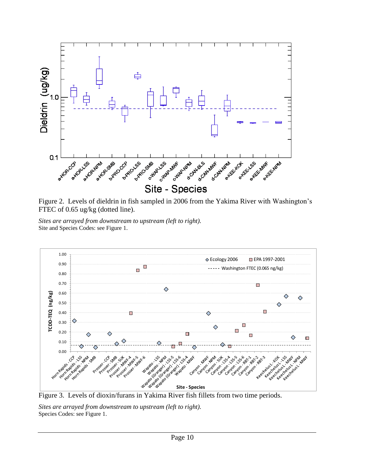

<span id="page-9-0"></span>Figure 2. Levels of dieldrin in fish sampled in 2006 from the Yakima River with Washington's FTEC of 0.65 ug/kg (dotted line).

*Sites are arrayed from downstream to upstream (left to right).* Site and Species Codes: see Figure 1.



<span id="page-9-1"></span>

*Sites are arrayed from downstream to upstream (left to right).* Species Codes: see Figure 1.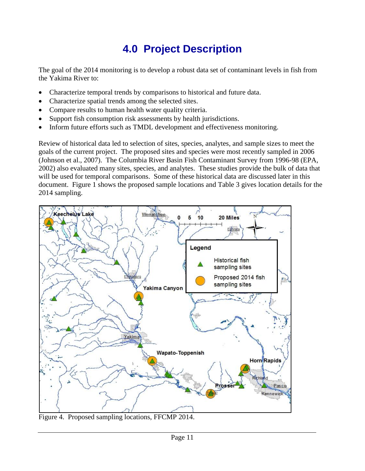## **4.0 Project Description**

<span id="page-10-0"></span>The goal of the 2014 monitoring is to develop a robust data set of contaminant levels in fish from the Yakima River to:

- Characterize temporal trends by comparisons to historical and future data.
- Characterize spatial trends among the selected sites.
- Compare results to human health water quality criteria.
- Support fish consumption risk assessments by health jurisdictions.
- Inform future efforts such as TMDL development and effectiveness monitoring.

Review of historical data led to selection of sites, species, analytes, and sample sizes to meet the goals of the current project. The proposed sites and species were most recently sampled in 2006 (Johnson et al., 2007). The Columbia River Basin Fish Contaminant Survey from 1996-98 (EPA, 2002) also evaluated many sites, species, and analytes. These studies provide the bulk of data that will be used for temporal comparisons. Some of these historical data are discussed later in this document. Figure 1 shows the proposed sample locations and Table 3 gives location details for the 2014 sampling.



<span id="page-10-1"></span>Figure 4. Proposed sampling locations, FFCMP 2014.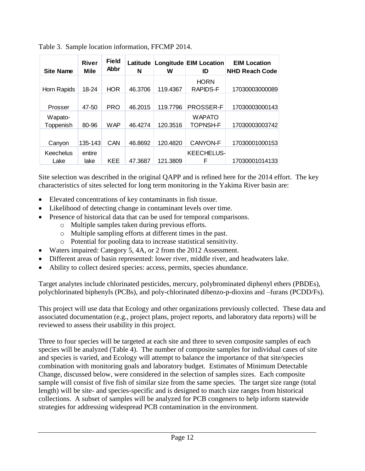| <b>Site Name</b>     | <b>River</b><br><b>Mile</b> | <b>Field</b><br>Abbr | Latitude<br>N | W        | Longitude EIM Location<br>ID     | <b>EIM Location</b><br><b>NHD Reach Code</b> |
|----------------------|-----------------------------|----------------------|---------------|----------|----------------------------------|----------------------------------------------|
| Horn Rapids          | 18-24                       | <b>HOR</b>           | 46.3706       | 119.4367 | <b>HORN</b><br><b>RAPIDS-F</b>   | 17030003000089                               |
| Prosser              | 47-50                       | <b>PRO</b>           | 46.2015       | 119.7796 | <b>PROSSER-F</b>                 | 17030003000143                               |
| Wapato-<br>Toppenish | 80-96                       | <b>WAP</b>           | 46.4274       | 120.3516 | <b>WAPATO</b><br><b>TOPNSH-F</b> | 17030003003742                               |
| Canyon               | 135-143                     | CAN                  | 46.8692       | 120.4820 | <b>CANYON-F</b>                  | 17030001000153                               |
| Keechelus<br>Lake    | entire<br>lake              | <b>KEE</b>           | 47.3687       | 121.3809 | <b>KEECHELUS-</b><br>F           | 17030001014133                               |

<span id="page-11-0"></span>Table 3. Sample location information, FFCMP 2014.

Site selection was described in the original QAPP and is refined here for the 2014 effort. The key characteristics of sites selected for long term monitoring in the Yakima River basin are:

- Elevated concentrations of key contaminants in fish tissue.
- Likelihood of detecting change in contaminant levels over time.
- Presence of historical data that can be used for temporal comparisons.
	- o Multiple samples taken during previous efforts.
	- o Multiple sampling efforts at different times in the past.
	- o Potential for pooling data to increase statistical sensitivity.
- Waters impaired: Category 5, 4A, or 2 from the 2012 Assessment.
- Different areas of basin represented: lower river, middle river, and headwaters lake.
- Ability to collect desired species: access, permits, species abundance.

Target analytes include chlorinated pesticides, mercury, polybrominated diphenyl ethers (PBDEs), polychlorinated biphenyls (PCBs), and poly-chlorinated dibenzo-p-dioxins and –furans (PCDD/Fs).

This project will use data that Ecology and other organizations previously collected. These data and associated documentation (e.g., project plans, project reports, and laboratory data reports) will be reviewed to assess their usability in this project.

Three to four species will be targeted at each site and three to seven composite samples of each species will be analyzed (Table 4). The number of composite samples for individual cases of site and species is varied, and Ecology will attempt to balance the importance of that site/species combination with monitoring goals and laboratory budget. Estimates of Minimum Detectable Change, discussed below, were considered in the selection of samples sizes. Each composite sample will consist of five fish of similar size from the same species. The target size range (total length) will be site- and species-specific and is designed to match size ranges from historical collections. A subset of samples will be analyzed for PCB congeners to help inform statewide strategies for addressing widespread PCB contamination in the environment.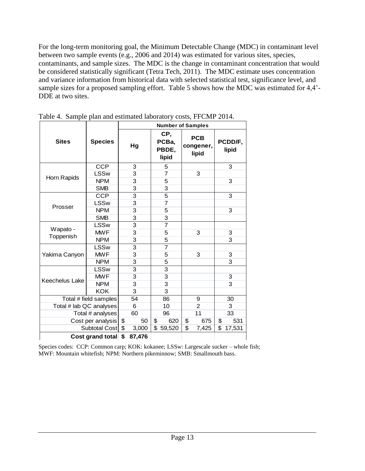For the long-term monitoring goal, the Minimum Detectable Change (MDC) in contaminant level between two sample events (e.g., 2006 and 2014) was estimated for various sites, species, contaminants, and sample sizes. The MDC is the change in contaminant concentration that would be considered statistically significant (Tetra Tech, 2011). The MDC estimate uses concentration and variance information from historical data with selected statistical test, significance level, and sample sizes for a proposed sampling effort. Table 5 shows how the MDC was estimated for 4,4'- DDE at two sites.

|                         |                     | <b>Number of Samples</b> |                |    |                                |    |                                  |    |                  |
|-------------------------|---------------------|--------------------------|----------------|----|--------------------------------|----|----------------------------------|----|------------------|
| <b>Sites</b>            | <b>Species</b>      |                          | Hg             |    | CP,<br>PCBa,<br>PBDE,<br>lipid |    | <b>PCB</b><br>congener,<br>lipid |    | PCDD/F,<br>lipid |
|                         | <b>CCP</b>          |                          | 3              |    | 5                              |    |                                  |    | 3                |
|                         | <b>LSSw</b>         |                          | 3              |    | 7                              |    | 3                                |    |                  |
| Horn Rapids             | <b>NPM</b>          |                          | 3              |    | 5                              |    |                                  |    | 3                |
|                         | <b>SMB</b>          |                          | 3              |    | 3                              |    |                                  |    |                  |
|                         | <b>CCP</b>          |                          | 3              |    | 5                              |    |                                  |    | 3                |
|                         | <b>LSSw</b>         |                          | 3              |    | 7                              |    |                                  |    |                  |
| Prosser                 | <b>NPM</b>          |                          | 3              |    | 5                              |    |                                  |    | 3                |
|                         | <b>SMB</b>          |                          | 3              |    | 3                              |    |                                  |    |                  |
|                         | <b>LSSw</b>         |                          | 3              |    | 7                              |    |                                  |    |                  |
| Wapato -                | <b>MWF</b>          |                          | 3              |    | 5                              |    | 3                                |    | 3                |
| Toppenish               | <b>NPM</b>          |                          | 3              |    | 5                              |    |                                  |    | $\overline{3}$   |
|                         | <b>LSSw</b>         |                          | 3              |    | $\overline{7}$                 |    |                                  |    |                  |
| Yakima Canyon           | <b>MWF</b>          |                          | 3              |    | 5                              |    | 3                                |    | 3                |
|                         | <b>NPM</b>          |                          | 3              |    | 5                              |    |                                  |    | 3                |
|                         | <b>LSSw</b>         |                          | $\overline{3}$ |    | 3                              |    |                                  |    |                  |
| Keechelus Lake          | <b>MWF</b>          |                          | 3              |    | 3                              |    |                                  |    | 3                |
|                         | <b>NPM</b>          |                          | 3              |    | 3                              |    |                                  |    | $\overline{3}$   |
|                         | <b>KOK</b>          |                          | 3              |    | 3                              |    |                                  |    |                  |
| Total # field samples   |                     |                          | 54             |    | 86                             |    | 9                                |    | 30               |
| Total # lab QC analyses |                     |                          | 6              |    | 10                             |    | $\overline{2}$                   |    | 3                |
| Total # analyses        |                     |                          | 60             |    | 96                             |    | 11                               |    | 33               |
| Cost per analysis       |                     | \$<br>\$                 | 50             | \$ | 620                            | \$ | 675                              | \$ | 531              |
|                         | Subtotal Cost       |                          | 3,000          | \$ | 59,520                         | \$ | 7,425                            | \$ | 17,531           |
|                         | Cost grand total \$ |                          | 87,476         |    |                                |    |                                  |    |                  |

<span id="page-12-0"></span>Table 4. Sample plan and estimated laboratory costs, FFCMP 2014.

Species codes: CCP: Common carp; KOK: kokanee; LSSw: Largescale sucker – whole fish; MWF: Mountain whitefish; NPM: Northern pikeminnow; SMB: Smallmouth bass.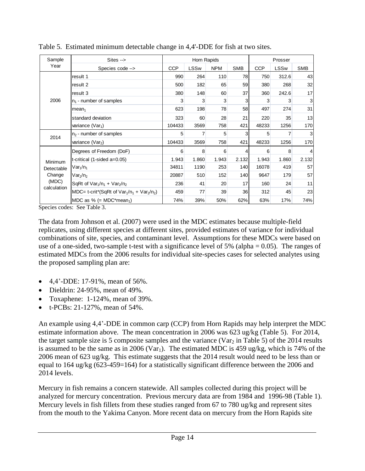| Sample          | $Stes ->$                                                         |            | Horn Rapids |            |            | Prosser    |             |            |
|-----------------|-------------------------------------------------------------------|------------|-------------|------------|------------|------------|-------------|------------|
| Year            | Species code -->                                                  | <b>CCP</b> | LSSw        | <b>NPM</b> | <b>SMB</b> | <b>CCP</b> | <b>LSSw</b> | <b>SMB</b> |
|                 | result 1                                                          | 990        | 264         | 110        | 78         | 750        | 312.6       | 43         |
|                 | result 2                                                          | 500        | 182         | 65         | 59         | 380        | 268         | 32         |
|                 | result 3                                                          | 380        | 148         | 60         | 37         | 360        | 242.6       | 17         |
| 2006            | $n_1$ - number of samples                                         |            | 3           | 3          | 3          | 3          | 3           | 3          |
|                 | mean <sub>1</sub>                                                 | 623        | 198         | 78         | 58         | 497        | 274         | 31         |
|                 | standard deviation                                                | 323        | 60          | 28         | 21         | 220        | 35          | 13         |
|                 | variance $(Var1)$                                                 | 104433     | 3569        | 758        | 421        | 48233      | 1256        | 170        |
| 2014            | $n2$ - number of samples                                          | 5          |             | 5          | 3          | 5          |             |            |
|                 | variance ( $Var2$ )                                               | 104433     | 3569        | 758        | 421        | 48233      | 1256        | 170        |
|                 | Degrees of Freedom (DoF)                                          | 6          | 8           | 6          | 4          | 6          | 8           |            |
| Minimum         | t-critical $(1-sided a=0.05)$                                     | 1.943      | 1.860       | 1.943      | 2.132      | 1.943      | 1.860       | 2.132      |
| Detectable      | $\textsf{Var}_1/\textsf{n}_1$                                     | 34811      | 1190        | 253        | 140        | 16078      | 419         | 57         |
| Change<br>(MDC) | $\text{Var}_2/\text{n}_2$                                         | 20887      | 510         | 152        | 140        | 9647       | 179         | 57         |
|                 | SqRt of $Var_1/n_1 + Var_2/n_2$                                   | 236        | 41          | 20         | 17         | 160        | 24          | 11         |
| calculation     | MDC= t-crit*(SqRt of $Var_1/n_1 + Var_2/n_2$ )                    | 459        | 77          | 39         | 36         | 312        | 45          | 23         |
| $\blacksquare$  | MDC as % (= MDC*mean <sub>1</sub> )<br>$\alpha$ $\pi$ 11 $\alpha$ | 74%        | 39%         | 50%        | 62%        | 63%        | 17%         | 74%        |

<span id="page-13-0"></span>Table 5. Estimated minimum detectable change in 4,4'-DDE for fish at two sites.

Species codes: See Table 3.

The data from Johnson et al. (2007) were used in the MDC estimates because multiple-field replicates, using different species at different sites, provided estimates of variance for individual combinations of site, species, and contaminant level. Assumptions for these MDCs were based on use of a one-sided, two-sample t-test with a significance level of 5% (alpha  $= 0.05$ ). The ranges of estimated MDCs from the 2006 results for individual site-species cases for selected analytes using the proposed sampling plan are:

- 4,4'-DDE: 17-91%, mean of 56%.
- Dieldrin:  $24-95\%$ , mean of  $49\%$ .
- Toxaphene:  $1-124\%$ , mean of 39%.
- t-PCBs:  $21-127\%$ , mean of  $54\%$ .

An example using 4,4'-DDE in common carp (CCP) from Horn Rapids may help interpret the MDC estimate information above. The mean concentration in 2006 was 623 ug/kg (Table 5). For 2014, the target sample size is 5 composite samples and the variance (Var<sub>2</sub> in Table 5) of the 2014 results is assumed to be the same as in 2006 (Var<sub>1</sub>). The estimated MDC is 459 ug/kg, which is 74% of the 2006 mean of 623 ug/kg. This estimate suggests that the 2014 result would need to be less than or equal to 164 ug/kg (623-459=164) for a statistically significant difference between the 2006 and 2014 levels.

Mercury in fish remains a concern statewide. All samples collected during this project will be analyzed for mercury concentration. Previous mercury data are from 1984 and 1996-98 (Table 1). Mercury levels in fish fillets from these studies ranged from 67 to 780 ug/kg and represent sites from the mouth to the Yakima Canyon. More recent data on mercury from the Horn Rapids site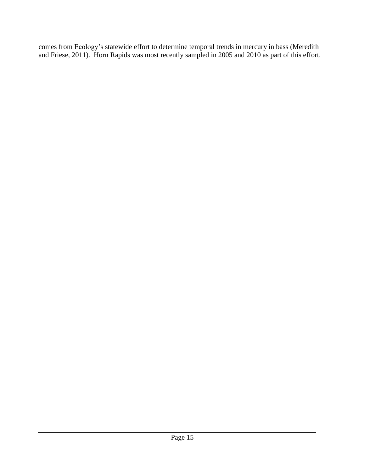comes from Ecology's statewide effort to determine temporal trends in mercury in bass (Meredith and Friese, 2011). Horn Rapids was most recently sampled in 2005 and 2010 as part of this effort.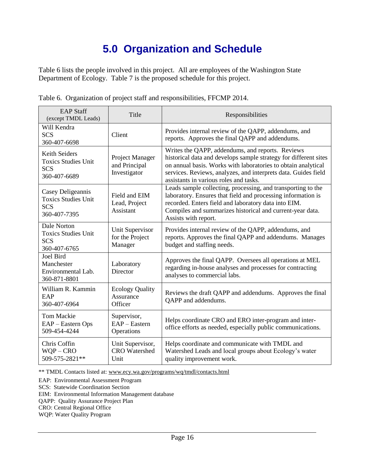## **5.0 Organization and Schedule**

<span id="page-15-0"></span>Table 6 lists the people involved in this project. All are employees of the Washington State Department of Ecology. Table 7 is the proposed schedule for this project.

| <b>EAP Staff</b><br>(except TMDL Leads)                                       | Title                                            | Responsibilities                                                                                                                                                                                                                                                                                  |
|-------------------------------------------------------------------------------|--------------------------------------------------|---------------------------------------------------------------------------------------------------------------------------------------------------------------------------------------------------------------------------------------------------------------------------------------------------|
| Will Kendra<br><b>SCS</b><br>360-407-6698                                     | Client                                           | Provides internal review of the QAPP, addendums, and<br>reports. Approves the final QAPP and addendums.                                                                                                                                                                                           |
| Keith Seiders<br><b>Toxics Studies Unit</b><br><b>SCS</b><br>360-407-6689     | Project Manager<br>and Principal<br>Investigator | Writes the QAPP, addendums, and reports. Reviews<br>historical data and develops sample strategy for different sites<br>on annual basis. Works with laboratories to obtain analytical<br>services. Reviews, analyzes, and interprets data. Guides field<br>assistants in various roles and tasks. |
| Casey Deligeannis<br><b>Toxics Studies Unit</b><br><b>SCS</b><br>360-407-7395 | Field and EIM<br>Lead, Project<br>Assistant      | Leads sample collecting, processing, and transporting to the<br>laboratory. Ensures that field and processing information is<br>recorded. Enters field and laboratory data into EIM.<br>Compiles and summarizes historical and current-year data.<br>Assists with report.                         |
| Dale Norton<br><b>Toxics Studies Unit</b><br><b>SCS</b><br>360-407-6765       | Unit Supervisor<br>for the Project<br>Manager    | Provides internal review of the QAPP, addendums, and<br>reports. Approves the final QAPP and addendums. Manages<br>budget and staffing needs.                                                                                                                                                     |
| Joel Bird<br>Manchester<br>Environmental Lab.<br>360-871-8801                 | Laboratory<br><b>Director</b>                    | Approves the final QAPP. Oversees all operations at MEL<br>regarding in-house analyses and processes for contracting<br>analyses to commercial labs.                                                                                                                                              |
| William R. Kammin<br>EAP<br>360-407-6964                                      | <b>Ecology Quality</b><br>Assurance<br>Officer   | Reviews the draft QAPP and addendums. Approves the final<br>QAPP and addendums.                                                                                                                                                                                                                   |
| <b>Tom Mackie</b><br>EAP - Eastern Ops<br>509-454-4244                        | Supervisor,<br>EAP - Eastern<br>Operations       | Helps coordinate CRO and ERO inter-program and inter-<br>office efforts as needed, especially public communications.                                                                                                                                                                              |
| Chris Coffin<br>$WQP - CRO$<br>509-575-2821**                                 | Unit Supervisor,<br><b>CRO</b> Watershed<br>Unit | Helps coordinate and communicate with TMDL and<br>Watershed Leads and local groups about Ecology's water<br>quality improvement work.                                                                                                                                                             |

<span id="page-15-1"></span>Table 6. Organization of project staff and responsibilities, FFCMP 2014.

\*\* TMDL Contacts listed at: [www.ecy.wa.gov/programs/wq/tmdl/contacts.html](http://www.ecy.wa.gov/programs/wq/tmdl/contacts.html)

EAP: Environmental Assessment Program

SCS: Statewide Coordination Section

EIM: Environmental Information Management database

QAPP: Quality Assurance Project Plan

CRO: Central Regional Office

WQP: Water Quality Program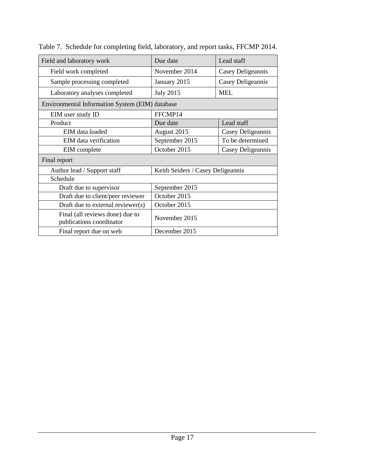| Field and laboratory work                                   | Due date                          | Lead staff        |
|-------------------------------------------------------------|-----------------------------------|-------------------|
| Field work completed                                        | November 2014                     | Casey Deligeannis |
| Sample processing completed                                 | January 2015                      | Casey Deligeannis |
| Laboratory analyses completed                               | <b>July 2015</b>                  | <b>MEL</b>        |
| Environmental Information System (EIM) database             |                                   |                   |
| EIM user study ID                                           | FFCMP14                           |                   |
| Product                                                     | Due date                          | Lead staff        |
| EIM data loaded                                             | August 2015                       | Casey Deligeannis |
| EIM data verification                                       | September 2015                    | To be determined  |
| EIM complete                                                | October 2015                      | Casey Deligeannis |
| Final report                                                |                                   |                   |
| Author lead / Support staff                                 | Keith Seiders / Casey Deligeannis |                   |
| Schedule                                                    |                                   |                   |
| Draft due to supervisor                                     | September 2015                    |                   |
| Draft due to client/peer reviewer                           | October 2015                      |                   |
| Draft due to external reviewer(s)                           | October 2015                      |                   |
| Final (all reviews done) due to<br>publications coordinator | November 2015                     |                   |
| Final report due on web                                     | December 2015                     |                   |

<span id="page-16-0"></span>Table 7. Schedule for completing field, laboratory, and report tasks, FFCMP 2014.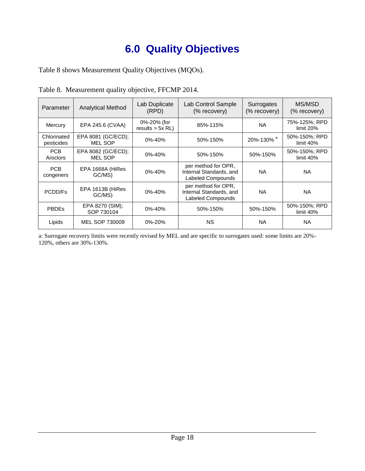## **6.0 Quality Objectives**

<span id="page-17-0"></span>Table 8 shows Measurement Quality Objectives (MQOs).

| Parameter                 | <b>Analytical Method</b>             | Lab Duplicate<br>(RPD)            | Lab Control Sample<br>(% recovery)                                         | Surrogates<br>(% recovery)  | MS/MSD<br>(% recovery)       |
|---------------------------|--------------------------------------|-----------------------------------|----------------------------------------------------------------------------|-----------------------------|------------------------------|
| Mercury                   | EPA 245.6 (CVAA)                     | 0%-20% (for<br>$results > 5x$ RL) | 85%-115%                                                                   | <b>NA</b>                   | 75%-125%; RPD<br>limit 20%   |
| Chlorinated<br>pesticides | EPA 8081 (GC/ECD);<br><b>MEL SOP</b> | 0%-40%                            | 50%-150%                                                                   | $20\% - 130\%$ <sup>a</sup> | 50%-150%; RPD<br>limit $40%$ |
| <b>PCB</b><br>Aroclors    | EPA 8082 (GC/ECD);<br><b>MEL SOP</b> | 0%-40%                            | 50%-150%                                                                   | 50%-150%                    | 50%-150%; RPD<br>limit 40%   |
| <b>PCB</b><br>congeners   | EPA 1668A (HiRes<br>GC/MS)           | 0%-40%                            | per method for OPR,<br>Internal Standards, and<br><b>Labeled Compounds</b> | NA                          | <b>NA</b>                    |
| PCDD/Fs                   | EPA 1613B (HiRes<br>GC/MS)           | $0\% - 40\%$                      | per method for OPR,<br>Internal Standards, and<br><b>Labeled Compounds</b> | <b>NA</b>                   | <b>NA</b>                    |
| <b>PBDEs</b>              | EPA 8270 (SIM);<br>SOP 730104        | 0%-40%                            | 50%-150%                                                                   | 50%-150%                    | 50%-150%; RPD<br>limit $40%$ |
| Lipids                    | MEL SOP 730009                       | 0%-20%                            | <b>NS</b>                                                                  | <b>NA</b>                   | <b>NA</b>                    |

<span id="page-17-1"></span>Table 8. Measurement quality objective, FFCMP 2014.

a: Surrogate recovery limits were recently revised by MEL and are specific to surrogates used: some limits are 20%- 120%, others are 30%-130%.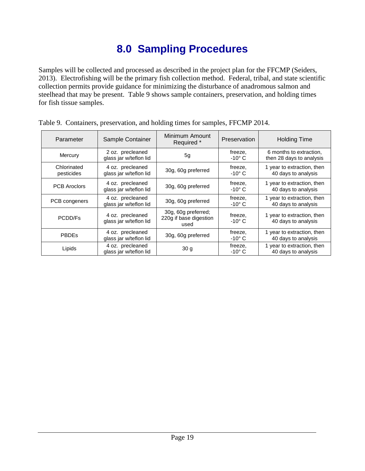## **8.0 Sampling Procedures**

<span id="page-18-0"></span>Samples will be collected and processed as described in the project plan for the FFCMP (Seiders, 2013). Electrofishing will be the primary fish collection method. Federal, tribal, and state scientific collection permits provide guidance for minimizing the disturbance of anadromous salmon and steelhead that may be present. Table 9 shows sample containers, preservation, and holding times for fish tissue samples.

| Parameter                 | Sample Container                           | Minimum Amount<br>Required *                          | Preservation               | <b>Holding Time</b>                                 |
|---------------------------|--------------------------------------------|-------------------------------------------------------|----------------------------|-----------------------------------------------------|
| Mercury                   | 2 oz. precleaned<br>glass jar w/teflon lid | 5 <sub>q</sub>                                        | freeze,<br>$-10^{\circ}$ C | 6 months to extraction,<br>then 28 days to analysis |
| Chlorinated<br>pesticides | 4 oz. precleaned<br>glass jar w/teflon lid | 30g, 60g preferred                                    | freeze,<br>$-10^{\circ}$ C | 1 year to extraction, then<br>40 days to analysis   |
| <b>PCB Aroclors</b>       | 4 oz. precleaned<br>glass jar w/teflon lid | 30g, 60g preferred                                    | freeze,<br>$-10^{\circ}$ C | 1 year to extraction, then<br>40 days to analysis   |
| PCB congeners             | 4 oz. precleaned<br>glass jar w/teflon lid | 30g, 60g preferred                                    | freeze,<br>$-10^{\circ}$ C | 1 year to extraction, then<br>40 days to analysis   |
| PCDD/Fs                   | 4 oz. precleaned<br>glass jar w/teflon lid | 30g, 60g preferred;<br>220g if base digestion<br>used | freeze,<br>$-10^{\circ}$ C | 1 year to extraction, then<br>40 days to analysis   |
| <b>PBDEs</b>              | 4 oz. precleaned<br>glass jar w/teflon lid | 30g, 60g preferred                                    | freeze,<br>$-10^{\circ}$ C | 1 year to extraction, then<br>40 days to analysis   |
| Lipids                    | 4 oz. precleaned<br>glass jar w/teflon lid | 30 <sub>g</sub>                                       | freeze,<br>$-10^{\circ}$ C | 1 year to extraction, then<br>40 days to analysis   |

<span id="page-18-1"></span>

| Table 9. Containers, preservation, and holding times for samples, FFCMP 2014. |  |  |  |
|-------------------------------------------------------------------------------|--|--|--|
|                                                                               |  |  |  |
|                                                                               |  |  |  |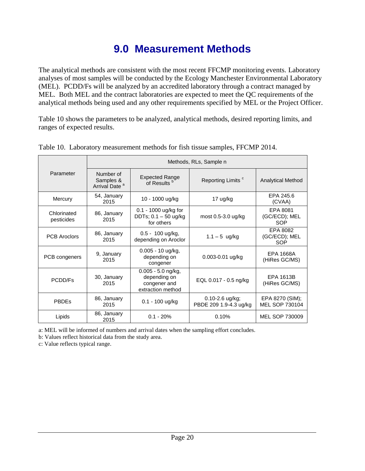## **9.0 Measurement Methods**

<span id="page-19-0"></span>The analytical methods are consistent with the most recent FFCMP monitoring events. Laboratory analyses of most samples will be conducted by the Ecology Manchester Environmental Laboratory (MEL). PCDD/Fs will be analyzed by an accredited laboratory through a contract managed by MEL. Both MEL and the contract laboratories are expected to meet the QC requirements of the analytical methods being used and any other requirements specified by MEL or the Project Officer.

Table 10 shows the parameters to be analyzed, analytical methods, desired reporting limits, and ranges of expected results.

|                           | Methods, RLs, Sample n                                                                         |                                                              |                                           |                                   |  |  |  |
|---------------------------|------------------------------------------------------------------------------------------------|--------------------------------------------------------------|-------------------------------------------|-----------------------------------|--|--|--|
| Parameter                 | Number of<br>Samples &<br>Arrival Date <sup>a</sup>                                            | <b>Expected Range</b><br>of Results <sup>b</sup>             | Reporting Limits <sup>c</sup>             | <b>Analytical Method</b>          |  |  |  |
| Mercury                   | 54, January<br>2015                                                                            | 10 - 1000 ug/kg                                              | 17 ug/kg                                  | EPA 245.6<br>(CVAA)               |  |  |  |
| Chlorinated<br>pesticides | 86, January<br>2015                                                                            | 0.1 - 1000 ug/kg for<br>DDTs; $0.1 - 50$ ug/kg<br>for others | most $0.5-3.0$ ug/kg                      | EPA 8081<br>(GC/ECD); MEL<br>SOP  |  |  |  |
| <b>PCB Aroclors</b>       | 86, January<br>2015                                                                            | $0.5 - 100$ ug/kg,<br>depending on Aroclor                   | $1.1 - 5$ ug/kg                           | EPA 8082<br>(GC/ECD); MEL<br>SOP  |  |  |  |
| PCB congeners             | 9, January<br>2015                                                                             | 0.005 - 10 ug/kg,<br>depending on<br>congener                | $0.003 - 0.01$ ug/kg                      | EPA 1668A<br>(HiRes GC/MS)        |  |  |  |
| PCDD/Fs                   | 0.005 - 5.0 ng/kg,<br>30, January<br>depending on<br>2015<br>congener and<br>extraction method |                                                              | EQL 0.017 - 0.5 ng/kg                     | EPA 1613B<br>(HiRes GC/MS)        |  |  |  |
| <b>PBDEs</b>              | 86, January<br>2015                                                                            | $0.1 - 100$ ug/kg                                            | 0.10-2.6 ug/kg;<br>PBDE 209 1.9-4.3 ug/kg | EPA 8270 (SIM);<br>MEL SOP 730104 |  |  |  |
| Lipids                    | 86, January<br>2015                                                                            | $0.1 - 20%$                                                  | 0.10%                                     | MEL SOP 730009                    |  |  |  |

<span id="page-19-1"></span>

|  | Table 10. Laboratory measurement methods for fish tissue samples, FFCMP 2014. |  |  |  |
|--|-------------------------------------------------------------------------------|--|--|--|
|  |                                                                               |  |  |  |

a: MEL will be informed of numbers and arrival dates when the sampling effort concludes.

b: Values reflect historical data from the study area.

c: Value reflects typical range.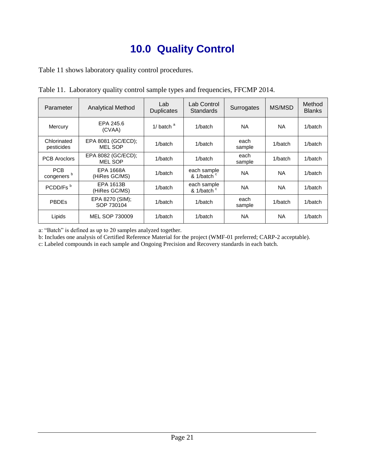## **10.0 Quality Control**

<span id="page-20-0"></span>Table 11 shows laboratory quality control procedures.

| Parameter                            | <b>Analytical Method</b>             | Lab<br><b>Duplicates</b> | Lab Control<br>Standards              | Surrogates     | MS/MSD    | Method<br><b>Blanks</b> |
|--------------------------------------|--------------------------------------|--------------------------|---------------------------------------|----------------|-----------|-------------------------|
| Mercury                              | EPA 245.6<br>(CVAA)                  | 1/ batch $a$             | 1/batch                               | <b>NA</b>      | <b>NA</b> | 1/batch                 |
| Chlorinated<br>pesticides            | EPA 8081 (GC/ECD);<br>MEL SOP        | 1/batch                  | 1/batch                               | each<br>sample | 1/batch   | 1/batch                 |
| <b>PCB Aroclors</b>                  | EPA 8082 (GC/ECD);<br><b>MEL SOP</b> | 1/batch                  | 1/batch                               | each<br>sample | 1/batch   | 1/batch                 |
| <b>PCB</b><br>congeners <sup>b</sup> | <b>EPA 1668A</b><br>(HiRes GC/MS)    | 1/batch                  | each sample<br>& 1/batch <sup>c</sup> | <b>NA</b>      | <b>NA</b> | 1/batch                 |
| PCDD/Fs <sup>b</sup>                 | <b>EPA 1613B</b><br>(HiRes GC/MS)    | 1/batch                  | each sample<br>& 1/batch <sup>c</sup> | <b>NA</b>      | <b>NA</b> | 1/batch                 |
| <b>PBDEs</b>                         | EPA 8270 (SIM);<br>SOP 730104        | 1/batch                  | 1/batch                               | each<br>sample | 1/batch   | 1/batch                 |
| Lipids                               | MEL SOP 730009                       | 1/batch                  | 1/batch                               | <b>NA</b>      | <b>NA</b> | 1/batch                 |

<span id="page-20-1"></span>Table 11. Laboratory quality control sample types and frequencies, FFCMP 2014.

a: "Batch" is defined as up to 20 samples analyzed together.

b: Includes one analysis of Certified Reference Material for the project (WMF-01 preferred; CARP-2 acceptable).

c: Labeled compounds in each sample and Ongoing Precision and Recovery standards in each batch.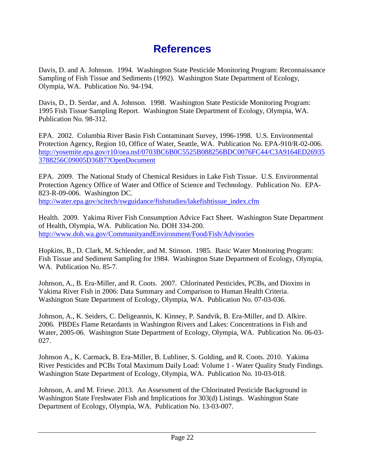## **References**

<span id="page-21-0"></span>Davis, D. and A. Johnson. 1994. Washington State Pesticide Monitoring Program: Reconnaissance Sampling of Fish Tissue and Sediments (1992). Washington State Department of Ecology, Olympia, WA. Publication No. 94-194.

Davis, D., D. Serdar, and A. Johnson. 1998. Washington State Pesticide Monitoring Program: 1995 Fish Tissue Sampling Report. Washington State Department of Ecology, Olympia, WA. Publication No. 98-312.

EPA. 2002. Columbia River Basin Fish Contaminant Survey, 1996-1998. U.S. Environmental Protection Agency, Region 10, Office of Water, Seattle, WA. Publication No. EPA-910/R-02-006. [http://yosemite.epa.gov/r10/oea.nsf/0703BC6B0C5525B088256BDC0076FC44/C3A9164ED26935](http://yosemite.epa.gov/r10/oea.nsf/0703BC6B0C5525B088256BDC0076FC44/C3A9164ED269353788256C09005D36B7?OpenDocument) [3788256C09005D36B7?OpenDocument](http://yosemite.epa.gov/r10/oea.nsf/0703BC6B0C5525B088256BDC0076FC44/C3A9164ED269353788256C09005D36B7?OpenDocument)

EPA. 2009. The National Study of Chemical Residues in Lake Fish Tissue. U.S. Environmental Protection Agency Office of Water and Office of Science and Technology. Publication No. EPA-823-R-09-006. Washington DC. [http://water.epa.gov/scitech/swguidance/fishstudies/lakefishtissue\\_index.cfm](http://water.epa.gov/scitech/swguidance/fishstudies/lakefishtissue_index.cfm)

Health. 2009. Yakima River Fish Consumption Advice Fact Sheet. Washington State Department of Health, Olympia, WA. Publication No. DOH 334-200. <http://www.doh.wa.gov/CommunityandEnvironment/Food/Fish/Advisories>

Hopkins, B., D. Clark, M. Schlender, and M. Stinson. 1985. Basic Water Monitoring Program: Fish Tissue and Sediment Sampling for 1984. Washington State Department of Ecology, Olympia, WA. Publication No. 85-7.

Johnson, A., B. Era-Miller, and R. Coots. 2007. Chlorinated Pesticides, PCBs, and Dioxins in Yakima River Fish in 2006: Data Summary and Comparison to Human Health Criteria. Washington State Department of Ecology, Olympia, WA. Publication No. 07-03-036.

Johnson, A., K. Seiders, C. Deligeannis, K. Kinney, P. Sandvik, B. Era-Miller, and D. Alkire. 2006. PBDEs Flame Retardants in Washington Rivers and Lakes: Concentrations in Fish and Water, 2005-06. Washington State Department of Ecology, Olympia, WA. Publication No. 06-03- 027.

Johnson A., K. Carmack, B. Era-Miller, B. Lubliner, S. Golding, and R. Coots. 2010. Yakima River Pesticides and PCBs Total Maximum Daily Load: Volume 1 - Water Quality Study Findings. Washington State Department of Ecology, Olympia, WA. Publication No. 10-03-018.

Johnson, A. and M. Friese. 2013. An Assessment of the Chlorinated Pesticide Background in Washington State Freshwater Fish and Implications for 303(d) Listings. Washington State Department of Ecology, Olympia, WA. Publication No. 13-03-007.